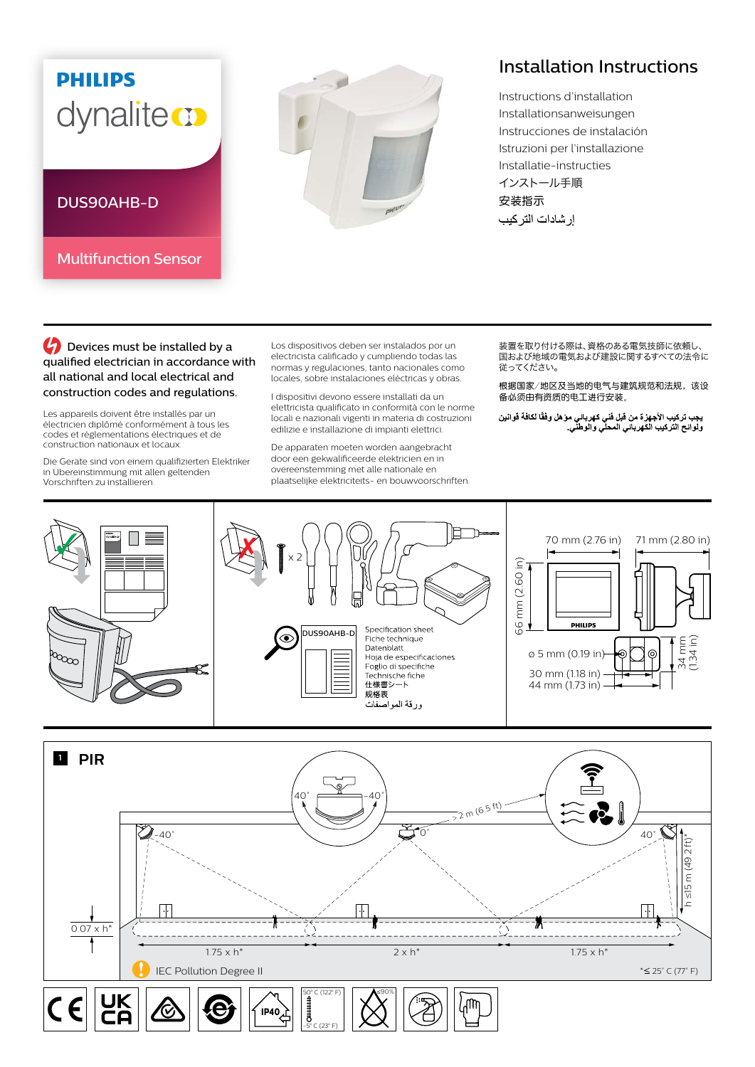## **PHILIPS** dynaliteco

Multifunction Sensor

DUS90AHB-D



## Installation Instructions

Instructions d'installation Installationsanweisungen Instrucciones de instalación Istruzioni per l'installazione Installatie-instructies インストール手順 安装指示 إر شادات التر كيب

**C** Devices must be installed by a qualified electrician in accordance with all national and local electrical and construction codes and regulations.

Les appareils doivent être installés par un électricien diplômé conformément à tous les codes et réglementations électriques et de construction nationaux et locaux.

Die Geräte sind von einem qualifizierten Elektriker in Übereinstimmung mit allen geltenden Vorschriften zu installieren.

Los dispositivos deben ser instalados por un electricista calificado y cumpliendo todas las normas y regulaciones, tanto nacionales como locales, sobre instalaciones eléctricas y obras.

I dispositivi devono essere installati da un elettricista qualificato in conformità con le norme locali e nazionali vigenti in materia di costruzioni edilizie e installazione di impianti elettrici.

De apparaten moeten worden aangebracht door een gekwalificeerde elektricien en in overeenstemming met alle nationale en plaatselijke elektriciteits- en bouwvoorschriften. 装置を取り付ける際は、資格のある電気技師に依頼し、 る量となっている。<br>国および地域の電気および建設に関するすべての法令に 従ってください。

根据国家/地区及当地的电气与建筑规范和法规,该设 备必须由有资质的电工进行安装。

يجب تركيب الأجهزة من قبل فني كهرباني موّ هل وفقًا لكافة قوانين<br>ولوائح التركيب الكهرباني المحلي والوطني<sub>.</sub>